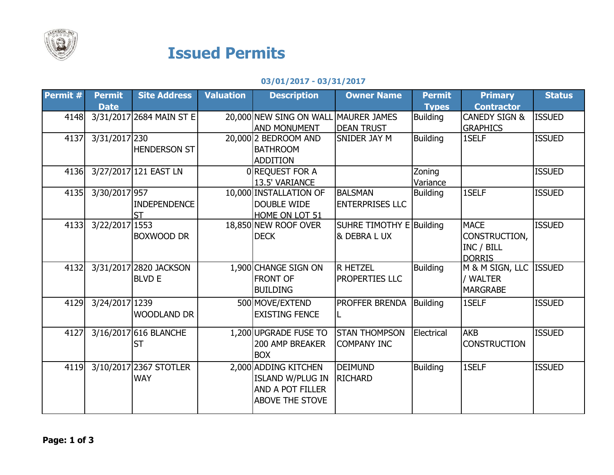

## Issued Permits

## 03/01/2017 - 03/31/2017

| Permit # | <b>Permit</b>  | <b>Site Address</b>      | <b>Valuation</b> | <b>Description</b>      | <b>Owner Name</b>        | <b>Permit</b>   | <b>Primary</b>           | <b>Status</b> |
|----------|----------------|--------------------------|------------------|-------------------------|--------------------------|-----------------|--------------------------|---------------|
|          | <b>Date</b>    |                          |                  |                         |                          | <b>Types</b>    | <b>Contractor</b>        |               |
| 4148     |                | 3/31/2017 2684 MAIN ST E |                  | 20,000 NEW SING ON WALL | <b>MAURER JAMES</b>      | <b>Building</b> | <b>CANEDY SIGN &amp;</b> | <b>ISSUED</b> |
|          |                |                          |                  | <b>AND MONUMENT</b>     | <b>DEAN TRUST</b>        |                 | <b>GRAPHICS</b>          |               |
| 4137     | 3/31/2017 230  |                          |                  | 20,000 2 BEDROOM AND    | SNIDER JAY M             | <b>Building</b> | 1SELF                    | <b>ISSUED</b> |
|          |                | <b>HENDERSON ST</b>      |                  | <b>BATHROOM</b>         |                          |                 |                          |               |
|          |                |                          |                  | <b>ADDITION</b>         |                          |                 |                          |               |
| 4136     |                | 3/27/2017 121 EAST LN    |                  | 0 REQUEST FOR A         |                          | Zoning          |                          | <b>ISSUED</b> |
|          |                |                          |                  | 13.5' VARIANCE          |                          | Variance        |                          |               |
| 4135     | 3/30/2017 957  |                          |                  | 10,000 INSTALLATION OF  | <b>BALSMAN</b>           | <b>Building</b> | 1SELF                    | <b>ISSUED</b> |
|          |                | <b>INDEPENDENCE</b>      |                  | <b>DOUBLE WIDE</b>      | <b>ENTERPRISES LLC</b>   |                 |                          |               |
|          |                | <b>ST</b>                |                  | HOME ON LOT 51          |                          |                 |                          |               |
| 4133     | 3/22/2017 1553 |                          |                  | 18,850 NEW ROOF OVER    | SUHRE TIMOTHY E Building |                 | <b>MACE</b>              | <b>ISSUED</b> |
|          |                | <b>BOXWOOD DR</b>        |                  | <b>DECK</b>             | & DEBRA L UX             |                 | CONSTRUCTION,            |               |
|          |                |                          |                  |                         |                          |                 | INC / BILL               |               |
|          |                |                          |                  |                         |                          |                 | <b>DORRIS</b>            |               |
| 4132     |                | 3/31/2017 2820 JACKSON   |                  | 1,900 CHANGE SIGN ON    | <b>R HETZEL</b>          | <b>Building</b> | M & M SIGN, LLC          | <b>ISSUED</b> |
|          |                | <b>BLVD E</b>            |                  | <b>FRONT OF</b>         | PROPERTIES LLC           |                 | / WALTER                 |               |
|          |                |                          |                  | <b>BUILDING</b>         |                          |                 | <b>MARGRABE</b>          |               |
| 4129     | 3/24/2017 1239 |                          |                  | 500 MOVE/EXTEND         | PROFFER BRENDA           | Building        | 1SELF                    | <b>ISSUED</b> |
|          |                | <b>WOODLAND DR</b>       |                  | <b>EXISTING FENCE</b>   |                          |                 |                          |               |
|          |                |                          |                  |                         |                          |                 |                          |               |
| 4127     |                | 3/16/2017 616 BLANCHE    |                  | 1,200 UPGRADE FUSE TO   | <b>STAN THOMPSON</b>     | Electrical      | <b>AKB</b>               | <b>ISSUED</b> |
|          |                | <b>ST</b>                |                  | <b>200 AMP BREAKER</b>  | <b>COMPANY INC</b>       |                 | <b>CONSTRUCTION</b>      |               |
|          |                |                          |                  | <b>BOX</b>              |                          |                 |                          |               |
| 4119     |                | 3/10/2017 2367 STOTLER   |                  | 2,000 ADDING KITCHEN    | <b>DEIMUND</b>           | <b>Building</b> | 1SELF                    | <b>ISSUED</b> |
|          |                | <b>WAY</b>               |                  | <b>ISLAND W/PLUG IN</b> | <b>RICHARD</b>           |                 |                          |               |
|          |                |                          |                  | <b>AND A POT FILLER</b> |                          |                 |                          |               |
|          |                |                          |                  | <b>ABOVE THE STOVE</b>  |                          |                 |                          |               |
|          |                |                          |                  |                         |                          |                 |                          |               |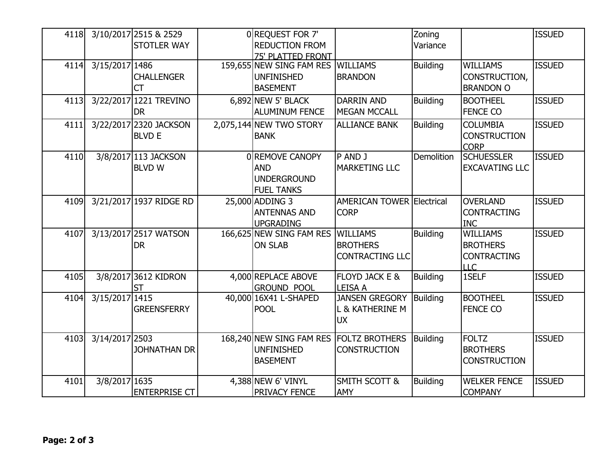| 4118 |                | 3/10/2017 2515 & 2529   | 0REQUEST FOR 7'                   |                                  | Zoning            |                       | <b>ISSUED</b> |
|------|----------------|-------------------------|-----------------------------------|----------------------------------|-------------------|-----------------------|---------------|
|      |                | <b>STOTLER WAY</b>      | <b>REDUCTION FROM</b>             |                                  | Variance          |                       |               |
|      |                |                         | <b>75' PLATTED FRONT</b>          |                                  |                   |                       |               |
| 4114 | 3/15/2017 1486 |                         | 159,655 NEW SING FAM RES WILLIAMS |                                  | <b>Building</b>   | <b>WILLIAMS</b>       | <b>ISSUED</b> |
|      |                | <b>CHALLENGER</b>       | <b>UNFINISHED</b>                 | <b>BRANDON</b>                   |                   | CONSTRUCTION,         |               |
|      |                | <b>CT</b>               | <b>BASEMENT</b>                   |                                  |                   | <b>BRANDON O</b>      |               |
| 4113 |                | 3/22/2017 1221 TREVINO  | $6,892$ NEW 5' BLACK              | <b>DARRIN AND</b>                | <b>Building</b>   | <b>BOOTHEEL</b>       | <b>ISSUED</b> |
|      |                | <b>DR</b>               | <b>ALUMINUM FENCE</b>             | <b>MEGAN MCCALL</b>              |                   | <b>FENCE CO</b>       |               |
| 4111 |                | 3/22/2017 2320 JACKSON  | 2,075,144 NEW TWO STORY           | <b>ALLIANCE BANK</b>             | Building          | <b>COLUMBIA</b>       | <b>ISSUED</b> |
|      |                | <b>BLVD E</b>           | <b>BANK</b>                       |                                  |                   | <b>CONSTRUCTION</b>   |               |
|      |                |                         |                                   |                                  |                   | <b>CORP</b>           |               |
| 4110 |                | 3/8/2017 113 JACKSON    | 0 REMOVE CANOPY                   | P AND J                          | <b>Demolition</b> | <b>SCHUESSLER</b>     | <b>ISSUED</b> |
|      |                | <b>BLVD W</b>           | <b>AND</b>                        | <b>MARKETING LLC</b>             |                   | <b>EXCAVATING LLC</b> |               |
|      |                |                         | <b>UNDERGROUND</b>                |                                  |                   |                       |               |
|      |                |                         | <b>FUEL TANKS</b>                 |                                  |                   |                       |               |
| 4109 |                | 3/21/2017 1937 RIDGE RD | 25,000 ADDING 3                   | <b>AMERICAN TOWER Electrical</b> |                   | <b>OVERLAND</b>       | <b>ISSUED</b> |
|      |                |                         | <b>ANTENNAS AND</b>               | <b>CORP</b>                      |                   | <b>CONTRACTING</b>    |               |
|      |                |                         | <b>UPGRADING</b>                  |                                  |                   | <b>INC</b>            |               |
| 4107 |                | 3/13/2017 2517 WATSON   | 166,625 NEW SING FAM RES          | <b>WILLIAMS</b>                  | <b>Building</b>   | <b>WILLIAMS</b>       | <b>ISSUED</b> |
|      |                | <b>DR</b>               | <b>ON SLAB</b>                    | <b>BROTHERS</b>                  |                   | <b>BROTHERS</b>       |               |
|      |                |                         |                                   | <b>CONTRACTING LLC</b>           |                   | <b>CONTRACTING</b>    |               |
|      |                |                         |                                   |                                  |                   | <b>LLC</b>            |               |
| 4105 |                | 3/8/2017 3612 KIDRON    | 4,000 REPLACE ABOVE               | FLOYD JACK E &                   | <b>Building</b>   | 1SELF                 | <b>ISSUED</b> |
|      |                | <b>ST</b>               | <b>GROUND POOL</b>                | <b>LEISA A</b>                   |                   |                       |               |
| 4104 | 3/15/2017 1415 |                         | 40,000 16X41 L-SHAPED             | <b>JANSEN GREGORY</b>            | Building          | <b>BOOTHEEL</b>       | <b>ISSUED</b> |
|      |                | <b>GREENSFERRY</b>      | <b>POOL</b>                       | L & KATHERINE M                  |                   | <b>FENCE CO</b>       |               |
|      |                |                         |                                   | <b>UX</b>                        |                   |                       |               |
| 4103 | 3/14/2017 2503 |                         | 168,240 NEW SING FAM RES          | <b>FOLTZ BROTHERS</b>            | Building          | <b>FOLTZ</b>          | <b>ISSUED</b> |
|      |                | JOHNATHAN DR            | <b>UNFINISHED</b>                 | <b>CONSTRUCTION</b>              |                   | <b>BROTHERS</b>       |               |
|      |                |                         | <b>BASEMENT</b>                   |                                  |                   | <b>CONSTRUCTION</b>   |               |
|      |                |                         |                                   |                                  |                   |                       |               |
| 4101 | 3/8/2017 1635  |                         | 4,388 NEW 6' VINYL                | <b>SMITH SCOTT &amp;</b>         | <b>Building</b>   | <b>WELKER FENCE</b>   | <b>ISSUED</b> |
|      |                | <b>ENTERPRISE CT</b>    | PRIVACY FENCE                     | <b>AMY</b>                       |                   | <b>COMPANY</b>        |               |